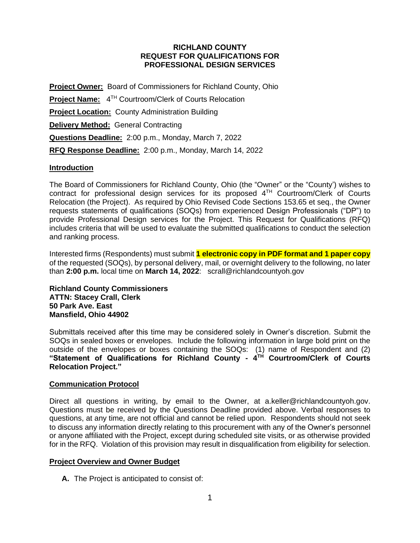### **RICHLAND COUNTY REQUEST FOR QUALIFICATIONS FOR PROFESSIONAL DESIGN SERVICES**

**Project Owner:** Board of Commissioners for Richland County, Ohio **Project Name:** 4 TH Courtroom/Clerk of Courts Relocation **Project Location:** County Administration Building **Delivery Method:** General Contracting **Questions Deadline:** 2:00 p.m., Monday, March 7, 2022 **RFQ Response Deadline:** 2:00 p.m., Monday, March 14, 2022

## **Introduction**

The Board of Commissioners for Richland County, Ohio (the "Owner" or the "County') wishes to contract for professional design services for its proposed  $4<sup>TH</sup>$  Courtroom/Clerk of Courts Relocation (the Project). As required by Ohio Revised Code Sections 153.65 et seq., the Owner requests statements of qualifications (SOQs) from experienced Design Professionals ("DP") to provide Professional Design services for the Project. This Request for Qualifications (RFQ) includes criteria that will be used to evaluate the submitted qualifications to conduct the selection and ranking process.

Interested firms (Respondents) must submit **1 electronic copy in PDF format and 1 paper copy** of the requested (SOQs), by personal delivery, mail, or overnight delivery to the following, no later than **2:00 p.m.** local time on **March 14, 2022**: scrall@richlandcountyoh.gov

### **Richland County Commissioners ATTN: Stacey Crall, Clerk 50 Park Ave. East Mansfield, Ohio 44902**

Submittals received after this time may be considered solely in Owner's discretion. Submit the SOQs in sealed boxes or envelopes. Include the following information in large bold print on the outside of the envelopes or boxes containing the SOQs: (1) name of Respondent and (2) **"Statement of Qualifications for Richland County - 4 TH Courtroom/Clerk of Courts Relocation Project."** 

## **Communication Protocol**

Direct all questions in writing, by email to the Owner, at a.keller@richlandcountyoh.gov. Questions must be received by the Questions Deadline provided above. Verbal responses to questions, at any time, are not official and cannot be relied upon. Respondents should not seek to discuss any information directly relating to this procurement with any of the Owner's personnel or anyone affiliated with the Project, except during scheduled site visits, or as otherwise provided for in the RFQ. Violation of this provision may result in disqualification from eligibility for selection.

## **Project Overview and Owner Budget**

**A.** The Project is anticipated to consist of: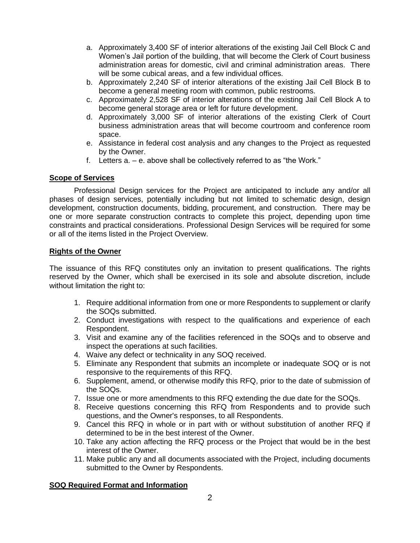- a. Approximately 3,400 SF of interior alterations of the existing Jail Cell Block C and Women's Jail portion of the building, that will become the Clerk of Court business administration areas for domestic, civil and criminal administration areas. There will be some cubical areas, and a few individual offices.
- b. Approximately 2,240 SF of interior alterations of the existing Jail Cell Block B to become a general meeting room with common, public restrooms.
- c. Approximately 2,528 SF of interior alterations of the existing Jail Cell Block A to become general storage area or left for future development.
- d. Approximately 3,000 SF of interior alterations of the existing Clerk of Court business administration areas that will become courtroom and conference room space.
- e. Assistance in federal cost analysis and any changes to the Project as requested by the Owner.
- f. Letters a. e. above shall be collectively referred to as "the Work."

## **Scope of Services**

Professional Design services for the Project are anticipated to include any and/or all phases of design services, potentially including but not limited to schematic design, design development, construction documents, bidding, procurement, and construction. There may be one or more separate construction contracts to complete this project, depending upon time constraints and practical considerations. Professional Design Services will be required for some or all of the items listed in the Project Overview.

### **Rights of the Owner**

The issuance of this RFQ constitutes only an invitation to present qualifications. The rights reserved by the Owner, which shall be exercised in its sole and absolute discretion, include without limitation the right to:

- 1. Require additional information from one or more Respondents to supplement or clarify the SOQs submitted.
- 2. Conduct investigations with respect to the qualifications and experience of each Respondent.
- 3. Visit and examine any of the facilities referenced in the SOQs and to observe and inspect the operations at such facilities.
- 4. Waive any defect or technicality in any SOQ received.
- 5. Eliminate any Respondent that submits an incomplete or inadequate SOQ or is not responsive to the requirements of this RFQ.
- 6. Supplement, amend, or otherwise modify this RFQ, prior to the date of submission of the SOQs.
- 7. Issue one or more amendments to this RFQ extending the due date for the SOQs.
- 8. Receive questions concerning this RFQ from Respondents and to provide such questions, and the Owner's responses, to all Respondents.
- 9. Cancel this RFQ in whole or in part with or without substitution of another RFQ if determined to be in the best interest of the Owner.
- 10. Take any action affecting the RFQ process or the Project that would be in the best interest of the Owner.
- 11. Make public any and all documents associated with the Project, including documents submitted to the Owner by Respondents.

## **SOQ Required Format and Information**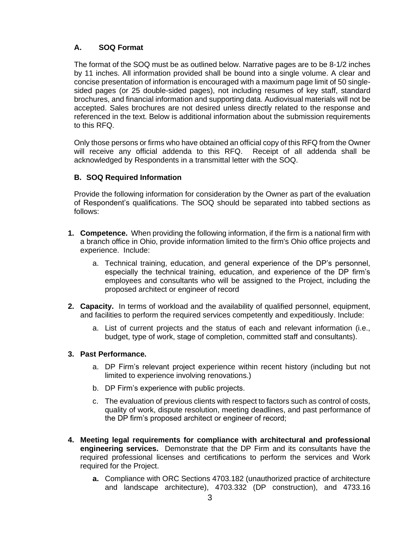# **A. SOQ Format**

The format of the SOQ must be as outlined below. Narrative pages are to be 8-1/2 inches by 11 inches. All information provided shall be bound into a single volume. A clear and concise presentation of information is encouraged with a maximum page limit of 50 singlesided pages (or 25 double-sided pages), not including resumes of key staff, standard brochures, and financial information and supporting data. Audiovisual materials will not be accepted. Sales brochures are not desired unless directly related to the response and referenced in the text. Below is additional information about the submission requirements to this RFQ.

Only those persons or firms who have obtained an official copy of this RFQ from the Owner will receive any official addenda to this RFQ. Receipt of all addenda shall be acknowledged by Respondents in a transmittal letter with the SOQ.

## **B. SOQ Required Information**

Provide the following information for consideration by the Owner as part of the evaluation of Respondent's qualifications. The SOQ should be separated into tabbed sections as follows:

- **1. Competence.** When providing the following information, if the firm is a national firm with a branch office in Ohio, provide information limited to the firm's Ohio office projects and experience. Include:
	- a. Technical training, education, and general experience of the DP's personnel, especially the technical training, education, and experience of the DP firm's employees and consultants who will be assigned to the Project, including the proposed architect or engineer of record
- **2. Capacity.** In terms of workload and the availability of qualified personnel, equipment, and facilities to perform the required services competently and expeditiously. Include:
	- a. List of current projects and the status of each and relevant information (i.e., budget, type of work, stage of completion, committed staff and consultants).

## **3. Past Performance.**

- a. DP Firm's relevant project experience within recent history (including but not limited to experience involving renovations.)
- b. DP Firm's experience with public projects.
- c. The evaluation of previous clients with respect to factors such as control of costs, quality of work, dispute resolution, meeting deadlines, and past performance of the DP firm's proposed architect or engineer of record;
- **4. Meeting legal requirements for compliance with architectural and professional engineering services.** Demonstrate that the DP Firm and its consultants have the required professional licenses and certifications to perform the services and Work required for the Project.
	- **a.** Compliance with ORC Sections 4703.182 (unauthorized practice of architecture and landscape architecture), 4703.332 (DP construction), and 4733.16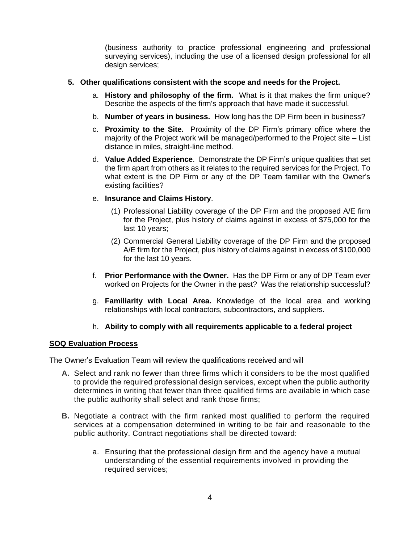(business authority to practice professional engineering and professional surveying services), including the use of a licensed design professional for all design services;

### **5. Other qualifications consistent with the scope and needs for the Project.**

- a. **History and philosophy of the firm.** What is it that makes the firm unique? Describe the aspects of the firm's approach that have made it successful.
- b. **Number of years in business.** How long has the DP Firm been in business?
- c. **Proximity to the Site.** Proximity of the DP Firm's primary office where the majority of the Project work will be managed/performed to the Project site – List distance in miles, straight-line method.
- d. **Value Added Experience**. Demonstrate the DP Firm's unique qualities that set the firm apart from others as it relates to the required services for the Project. To what extent is the DP Firm or any of the DP Team familiar with the Owner's existing facilities?

### e. **Insurance and Claims History**.

- (1) Professional Liability coverage of the DP Firm and the proposed A/E firm for the Project, plus history of claims against in excess of \$75,000 for the last 10 years;
- (2) Commercial General Liability coverage of the DP Firm and the proposed A/E firm for the Project, plus history of claims against in excess of \$100,000 for the last 10 years.
- f. **Prior Performance with the Owner.** Has the DP Firm or any of DP Team ever worked on Projects for the Owner in the past? Was the relationship successful?
- g. **Familiarity with Local Area.** Knowledge of the local area and working relationships with local contractors, subcontractors, and suppliers.

## h. **Ability to comply with all requirements applicable to a federal project**

#### **SOQ Evaluation Process**

The Owner's Evaluation Team will review the qualifications received and will

- **A.** Select and rank no fewer than three firms which it considers to be the most qualified to provide the required professional design services, except when the public authority determines in writing that fewer than three qualified firms are available in which case the public authority shall select and rank those firms;
- **B.** Negotiate a contract with the firm ranked most qualified to perform the required services at a compensation determined in writing to be fair and reasonable to the public authority. Contract negotiations shall be directed toward:
	- a. Ensuring that the professional design firm and the agency have a mutual understanding of the essential requirements involved in providing the required services;